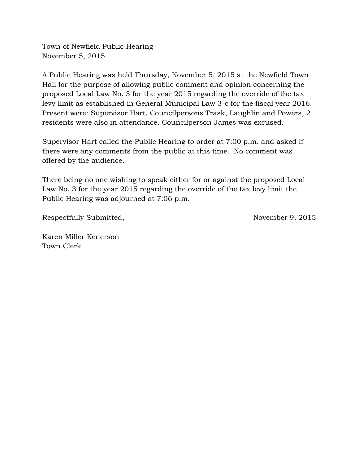Town of Newfield Public Hearing November 5, 2015

A Public Hearing was held Thursday, November 5, 2015 at the Newfield Town Hall for the purpose of allowing public comment and opinion concerning the proposed Local Law No. 3 for the year 2015 regarding the override of the tax levy limit as established in General Municipal Law 3-c for the fiscal year 2016. Present were: Supervisor Hart, Councilpersons Trask, Laughlin and Powers, 2 residents were also in attendance. Councilperson James was excused.

Supervisor Hart called the Public Hearing to order at 7:00 p.m. and asked if there were any comments from the public at this time. No comment was offered by the audience.

There being no one wishing to speak either for or against the proposed Local Law No. 3 for the year 2015 regarding the override of the tax levy limit the Public Hearing was adjourned at 7:06 p.m.

Respectfully Submitted, November 9, 2015

Karen Miller Kenerson Town Clerk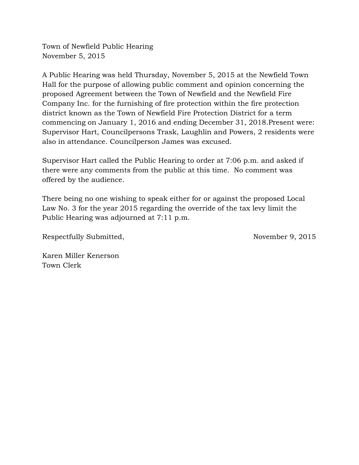Town of Newfield Public Hearing November 5, 2015

A Public Hearing was held Thursday, November 5, 2015 at the Newfield Town Hall for the purpose of allowing public comment and opinion concerning the proposed Agreement between the Town of Newfield and the Newfield Fire Company Inc. for the furnishing of fire protection within the fire protection district known as the Town of Newfield Fire Protection District for a term commencing on January 1, 2016 and ending December 31, 2018.Present were: Supervisor Hart, Councilpersons Trask, Laughlin and Powers, 2 residents were also in attendance. Councilperson James was excused.

Supervisor Hart called the Public Hearing to order at 7:06 p.m. and asked if there were any comments from the public at this time. No comment was offered by the audience.

There being no one wishing to speak either for or against the proposed Local Law No. 3 for the year 2015 regarding the override of the tax levy limit the Public Hearing was adjourned at 7:11 p.m.

Respectfully Submitted, November 9, 2015

Karen Miller Kenerson Town Clerk